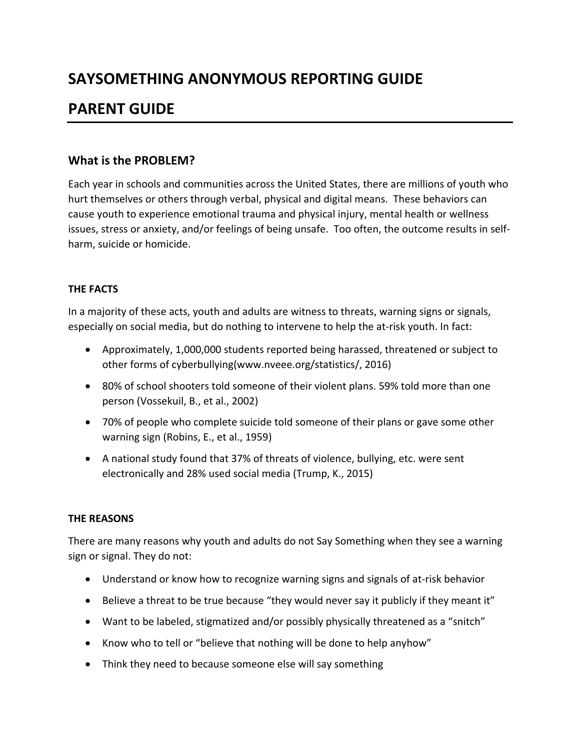# **SAYSOMETHING ANONYMOUS REPORTING GUIDE**

## **PARENT GUIDE**

## **What is the PROBLEM?**

Each year in schools and communities across the United States, there are millions of youth who hurt themselves or others through verbal, physical and digital means. These behaviors can cause youth to experience emotional trauma and physical injury, mental health or wellness issues, stress or anxiety, and/or feelings of being unsafe. Too often, the outcome results in selfharm, suicide or homicide.

## **THE FACTS**

In a majority of these acts, youth and adults are witness to threats, warning signs or signals, especially on social media, but do nothing to intervene to help the at-risk youth. In fact:

- Approximately, 1,000,000 students reported being harassed, threatened or subject to other forms of cyberbullying(www.nveee.org/statistics/, 2016)
- 80% of school shooters told someone of their violent plans. 59% told more than one person (Vossekuil, B., et al., 2002)
- 70% of people who complete suicide told someone of their plans or gave some other warning sign (Robins, E., et al., 1959)
- A national study found that 37% of threats of violence, bullying, etc. were sent electronically and 28% used social media (Trump, K., 2015)

## **THE REASONS**

There are many reasons why youth and adults do not Say Something when they see a warning sign or signal. They do not:

- Understand or know how to recognize warning signs and signals of at-risk behavior
- Believe a threat to be true because "they would never say it publicly if they meant it"
- Want to be labeled, stigmatized and/or possibly physically threatened as a "snitch"
- Know who to tell or "believe that nothing will be done to help anyhow"
- Think they need to because someone else will say something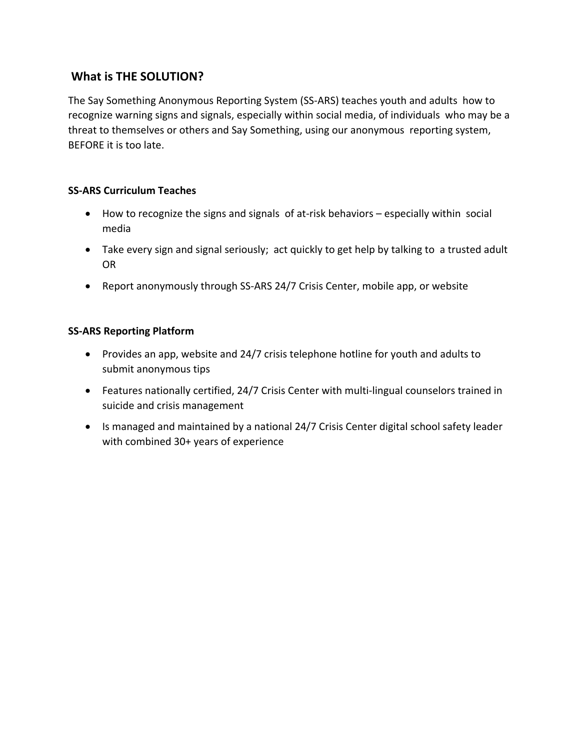## **What is THE SOLUTION?**

The Say Something Anonymous Reporting System (SS-ARS) teaches youth and adults how to recognize warning signs and signals, especially within social media, of individuals who may be a threat to themselves or others and Say Something, using our anonymous reporting system, BEFORE it is too late.

## **SS-ARS Curriculum Teaches**

- How to recognize the signs and signals of at-risk behaviors especially within social media
- Take every sign and signal seriously; act quickly to get help by talking to a trusted adult OR
- Report anonymously through SS-ARS 24/7 Crisis Center, mobile app, or website

## **SS-ARS Reporting Platform**

- Provides an app, website and 24/7 crisis telephone hotline for youth and adults to submit anonymous tips
- Features nationally certified, 24/7 Crisis Center with multi-lingual counselors trained in suicide and crisis management
- Is managed and maintained by a national 24/7 Crisis Center digital school safety leader with combined 30+ years of experience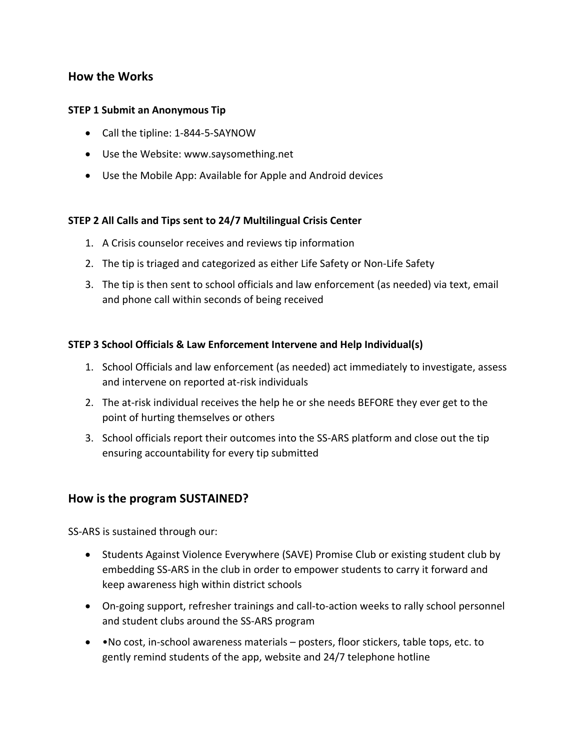## **How the Works**

#### **STEP 1 Submit an Anonymous Tip**

- Call the tipline: 1-844-5-SAYNOW
- Use the Website: www.saysomething.net
- Use the Mobile App: Available for Apple and Android devices

#### **STEP 2 All Calls and Tips sent to 24/7 Multilingual Crisis Center**

- 1. A Crisis counselor receives and reviews tip information
- 2. The tip is triaged and categorized as either Life Safety or Non-Life Safety
- 3. The tip is then sent to school officials and law enforcement (as needed) via text, email and phone call within seconds of being received

#### **STEP 3 School Officials & Law Enforcement Intervene and Help Individual(s)**

- 1. School Officials and law enforcement (as needed) act immediately to investigate, assess and intervene on reported at-risk individuals
- 2. The at-risk individual receives the help he or she needs BEFORE they ever get to the point of hurting themselves or others
- 3. School officials report their outcomes into the SS-ARS platform and close out the tip ensuring accountability for every tip submitted

## **How is the program SUSTAINED?**

SS-ARS is sustained through our:

- Students Against Violence Everywhere (SAVE) Promise Club or existing student club by embedding SS-ARS in the club in order to empower students to carry it forward and keep awareness high within district schools
- On-going support, refresher trainings and call-to-action weeks to rally school personnel and student clubs around the SS-ARS program
- •No cost, in-school awareness materials posters, floor stickers, table tops, etc. to gently remind students of the app, website and 24/7 telephone hotline